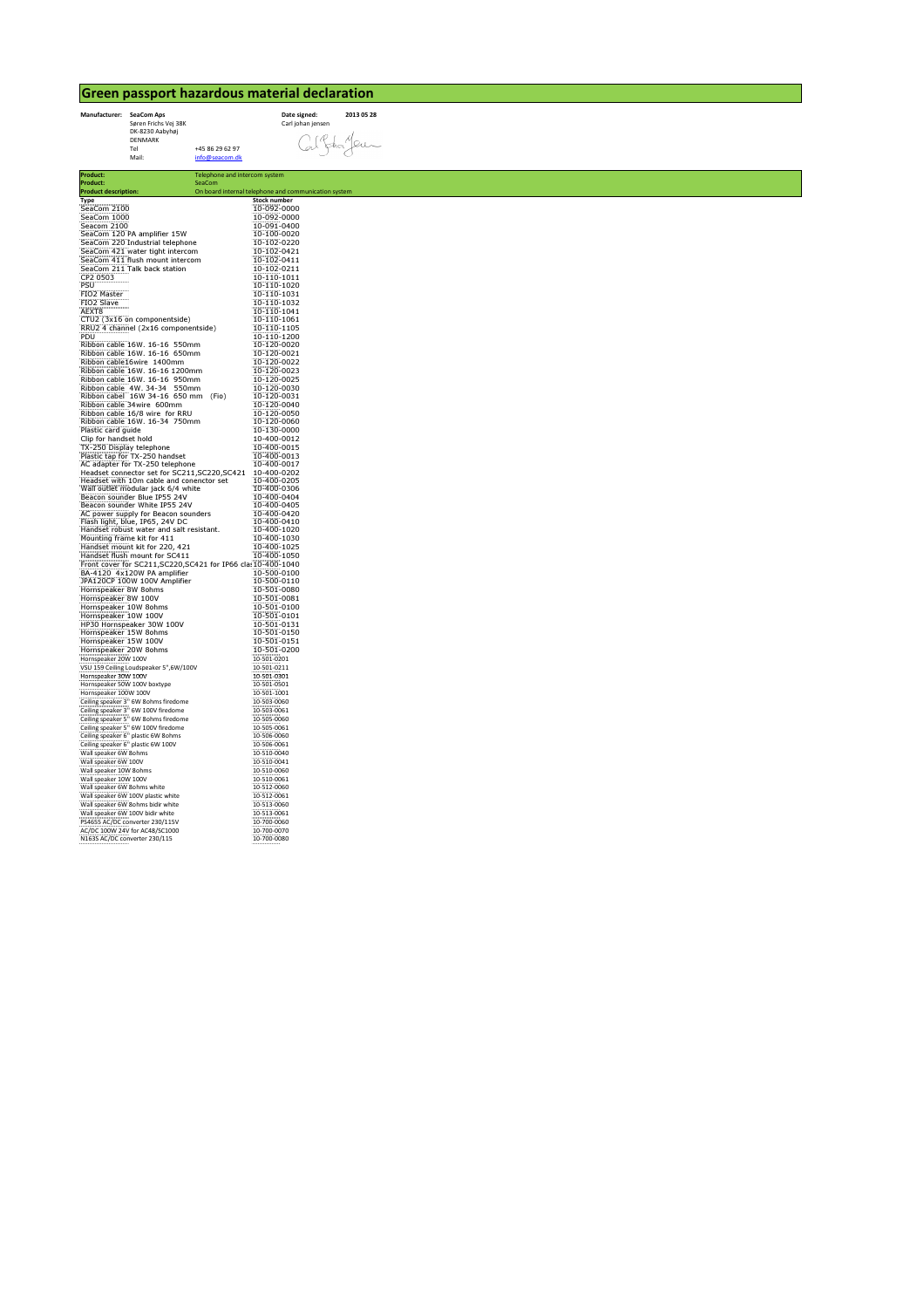## Green passport hazardous material declaration



Product: Telephone and intercom system Product: SeaCom **Product description: On board internal telephone and communication system** Type<br>SeaCom 2100  $\begin{tabular}{l|c|c} \hline \texttt{SeaCom 2100} & 10-092-0000 & 10-092-0000 \\ \hline \texttt{SeaCom 1200} & 10-092-0000 & 10-092-0000 \\ \hline \texttt{SeaCom 1200} & \texttt{Amplifier 15W} & 10-100-0020 \\ \hline \texttt{SeaCom 220} & \texttt{Industrial telephone} & 10-102-0420 \\ \hline \texttt{SeaCom 421 water tight intercom} & 10-102-0411 & 10-102$ FIO2 Master 10-110-1031 FIO2 Slave 10-110-1032 AEXT8 10-110-1041 CTU2 (3x16 on componentside) 10-110-1061 RRU2 4 channel (2x16 componentside)<br>
PDU<br>
PDU<br>
Rubbon cable 16W. 16-16 550mm<br>
Ribbon cable 16W. 16-16 650mm<br>
Ribbon cable 16W. 16-16 650mm<br>
Ribbon cable 16W. 16-16 950mm<br>
Ribbon cable 16W. 16-16 950mm<br>
Ribbon cable 16W. 3 Plastic card guide<br>
The Carp of Distribution of the Matter and the Hart and Solicity of Phansis (To-250 Display telephone<br>
The Plastic tap for TX-250 telephone<br>
Hardset come correct for SC211,SC220,SC42<br>
Headset with 10m Hornspeaker 10W 100V<br>
Hornspeaker 30W 100V<br>
HP30 Hornspeaker 30W 100V<br>
HP30 Hornspeaker 30W 100V<br>
Hornspeaker 30W 100V<br>
Hornspeaker 30W 100V<br>
Hornspeaker 30W 100V<br>
Hornspeaker 30W 100V<br>
Hornspeaker 5% W100V<br>
Hornspeaker 5